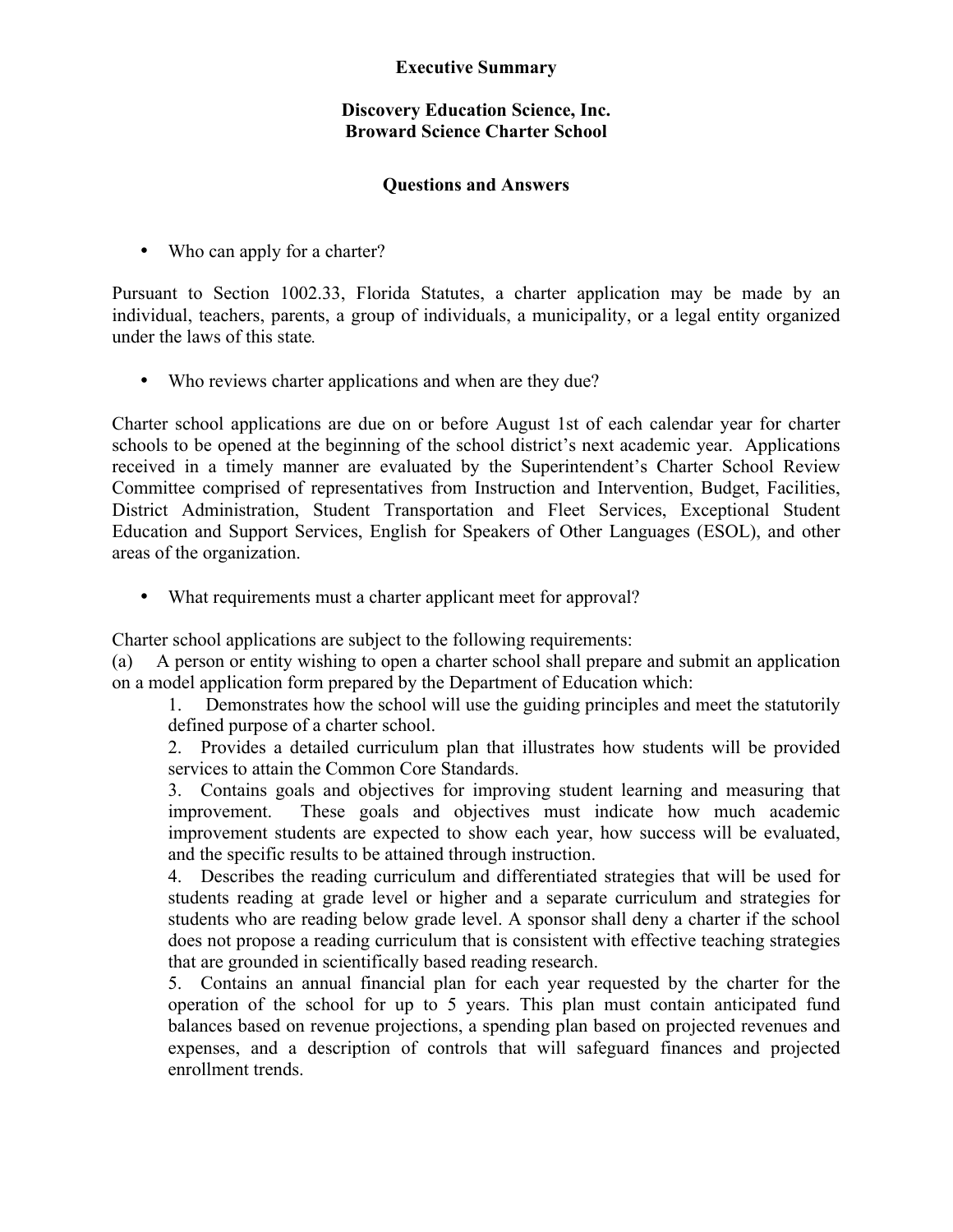## **Executive Summary**

## **Discovery Education Science, Inc. Broward Science Charter School**

## **Questions and Answers**

• Who can apply for a charter?

Pursuant to Section 1002.33, Florida Statutes, a charter application may be made by an individual, teachers, parents, a group of individuals, a municipality, or a legal entity organized under the laws of this state*.*

• Who reviews charter applications and when are they due?

Charter school applications are due on or before August 1st of each calendar year for charter schools to be opened at the beginning of the school district's next academic year. Applications received in a timely manner are evaluated by the Superintendent's Charter School Review Committee comprised of representatives from Instruction and Intervention, Budget, Facilities, District Administration, Student Transportation and Fleet Services, Exceptional Student Education and Support Services, English for Speakers of Other Languages (ESOL), and other areas of the organization.

• What requirements must a charter applicant meet for approval?

Charter school applications are subject to the following requirements:

(a) A person or entity wishing to open a charter school shall prepare and submit an application on a model application form prepared by the Department of Education which:

1. Demonstrates how the school will use the guiding principles and meet the statutorily defined purpose of a charter school.

2. Provides a detailed curriculum plan that illustrates how students will be provided services to attain the Common Core Standards.

3. Contains goals and objectives for improving student learning and measuring that improvement. These goals and objectives must indicate how much academic improvement students are expected to show each year, how success will be evaluated, and the specific results to be attained through instruction.

4. Describes the reading curriculum and differentiated strategies that will be used for students reading at grade level or higher and a separate curriculum and strategies for students who are reading below grade level. A sponsor shall deny a charter if the school does not propose a reading curriculum that is consistent with effective teaching strategies that are grounded in scientifically based reading research.

5. Contains an annual financial plan for each year requested by the charter for the operation of the school for up to 5 years. This plan must contain anticipated fund balances based on revenue projections, a spending plan based on projected revenues and expenses, and a description of controls that will safeguard finances and projected enrollment trends.